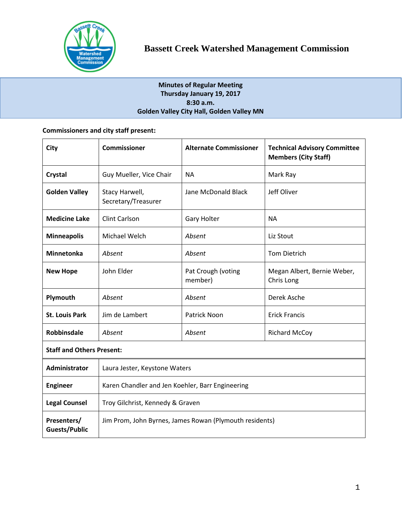

# **Minutes of Regular Meeting Thursday January 19, 2017 8:30 a.m. Golden Valley City Hall, Golden Valley MN**

# **Commissioners and city staff present:**

| City                             | <b>Commissioner</b>                                     | <b>Alternate Commissioner</b> | <b>Technical Advisory Committee</b><br><b>Members (City Staff)</b> |  |
|----------------------------------|---------------------------------------------------------|-------------------------------|--------------------------------------------------------------------|--|
| <b>Crystal</b>                   | Guy Mueller, Vice Chair                                 | <b>NA</b>                     | Mark Ray                                                           |  |
| <b>Golden Valley</b>             | Stacy Harwell,<br>Secretary/Treasurer                   | Jane McDonald Black           | Jeff Oliver                                                        |  |
| <b>Medicine Lake</b>             | <b>Clint Carlson</b>                                    | <b>Gary Holter</b>            | <b>NA</b>                                                          |  |
| <b>Minneapolis</b>               | Michael Welch                                           | Absent                        | Liz Stout                                                          |  |
| Minnetonka                       | Absent                                                  | Absent                        | <b>Tom Dietrich</b>                                                |  |
| <b>New Hope</b>                  | John Elder                                              | Pat Crough (voting<br>member) | Megan Albert, Bernie Weber,<br>Chris Long                          |  |
| Plymouth                         | Absent                                                  | Absent                        | Derek Asche                                                        |  |
| <b>St. Louis Park</b>            | Jim de Lambert                                          | <b>Patrick Noon</b>           | <b>Erick Francis</b>                                               |  |
| <b>Robbinsdale</b>               | Absent                                                  | Absent                        | <b>Richard McCoy</b>                                               |  |
| <b>Staff and Others Present:</b> |                                                         |                               |                                                                    |  |
| <b>Administrator</b>             | Laura Jester, Keystone Waters                           |                               |                                                                    |  |
| <b>Engineer</b>                  | Karen Chandler and Jen Koehler, Barr Engineering        |                               |                                                                    |  |
| <b>Legal Counsel</b>             | Troy Gilchrist, Kennedy & Graven                        |                               |                                                                    |  |
| Presenters/<br>Guests/Public     | Jim Prom, John Byrnes, James Rowan (Plymouth residents) |                               |                                                                    |  |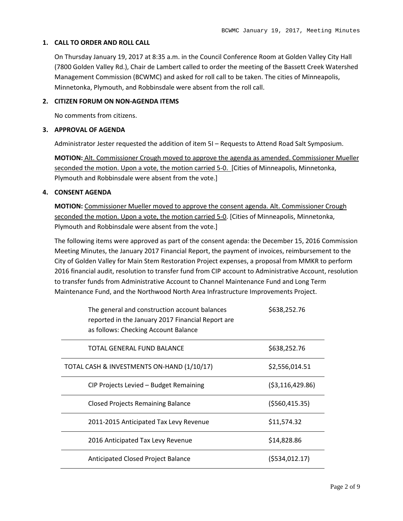### **1. CALL TO ORDER AND ROLL CALL**

On Thursday January 19, 2017 at 8:35 a.m. in the Council Conference Room at Golden Valley City Hall (7800 Golden Valley Rd.), Chair de Lambert called to order the meeting of the Bassett Creek Watershed Management Commission (BCWMC) and asked for roll call to be taken. The cities of Minneapolis, Minnetonka, Plymouth, and Robbinsdale were absent from the roll call.

## **2. CITIZEN FORUM ON NON-AGENDA ITEMS**

No comments from citizens.

### **3. APPROVAL OF AGENDA**

Administrator Jester requested the addition of item 5I – Requests to Attend Road Salt Symposium.

**MOTION:** Alt. Commissioner Crough moved to approve the agenda as amended. Commissioner Mueller seconded the motion. Upon a vote, the motion carried 5-0. [Cities of Minneapolis, Minnetonka, Plymouth and Robbinsdale were absent from the vote.]

### **4. CONSENT AGENDA**

**MOTION:** Commissioner Mueller moved to approve the consent agenda. Alt. Commissioner Crough seconded the motion. Upon a vote, the motion carried 5-0. [Cities of Minneapolis, Minnetonka, Plymouth and Robbinsdale were absent from the vote.]

The following items were approved as part of the consent agenda: the December 15, 2016 Commission Meeting Minutes, the January 2017 Financial Report, the payment of invoices, reimbursement to the City of Golden Valley for Main Stem Restoration Project expenses, a proposal from MMKR to perform 2016 financial audit, resolution to transfer fund from CIP account to Administrative Account, resolution to transfer funds from Administrative Account to Channel Maintenance Fund and Long Term Maintenance Fund, and the Northwood North Area Infrastructure Improvements Project.

| The general and construction account balances<br>reported in the January 2017 Financial Report are<br>as follows: Checking Account Balance | \$638,252.76      |
|--------------------------------------------------------------------------------------------------------------------------------------------|-------------------|
| TOTAL GENERAL FUND BALANCE                                                                                                                 | \$638,252.76      |
| TOTAL CASH & INVESTMENTS ON-HAND (1/10/17)                                                                                                 | \$2,556,014.51    |
| CIP Projects Levied - Budget Remaining                                                                                                     | ( \$3,116,429.86) |
| <b>Closed Projects Remaining Balance</b>                                                                                                   | ( \$560, 415.35)  |
| 2011-2015 Anticipated Tax Levy Revenue                                                                                                     | \$11,574.32       |
| 2016 Anticipated Tax Levy Revenue                                                                                                          | \$14,828.86       |
| Anticipated Closed Project Balance                                                                                                         | (\$534,012.17)    |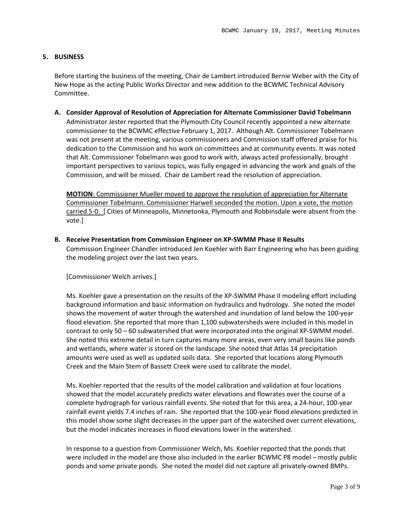## **5. BUSINESS**

Before starting the business of the meeting, Chair de Lambert introduced Bernie Weber with the City of New Hope as the acting Public Works Director and new addition to the BCWMC Technical Advisory Committee.

**A. Consider Approval of Resolution of Appreciation for Alternate Commissioner David Tobelmann** Administrator Jester reported that the Plymouth City Council recently appointed a new alternate commissioner to the BCWMC effective February 1, 2017. Although Alt. Commissioner Tobelmann was not present at the meeting, various commissioners and Commission staff offered praise for his dedication to the Commission and his work on committees and at community events. It was noted that Alt. Commissioner Tobelmann was good to work with, always acted professionally, brought important perspectives to various topics, was fully engaged in advancing the work and goals of the Commission, and will be missed. Chair de Lambert read the resolution of appreciation.

**MOTION**: Commissioner Mueller moved to approve the resolution of appreciation for Alternate Commissioner Tobelmann. Commissioner Harwell seconded the motion. Upon a vote, the motion carried 5-0. [ Cities of Minneapolis, Minnetonka, Plymouth and Robbinsdale were absent from the vote.]

**B. Receive Presentation from Commission Engineer on XP-SWMM Phase II Results** Commission Engineer Chandler introduced Jen Koehler with Barr Engineering who has been guiding the modeling project over the last two years.

[Commissioner Welch arrives.]

Ms. Koehler gave a presentation on the results of the XP-SWMM Phase II modeling effort including background information and basic information on hydraulics and hydrology. She noted the model shows the movement of water through the watershed and inundation of land below the 100-year flood elevation. She reported that more than 1,100 subwatersheds were included in this model in contrast to only 50 – 60 subwatershed that were incorporated into the original XP-SWMM model. She noted this extreme detail in turn captures many more areas, even very small basins like ponds and wetlands, where water is stored on the landscape. She noted that Atlas 14 precipitation amounts were used as well as updated soils data. She reported that locations along Plymouth Creek and the Main Stem of Bassett Creek were used to calibrate the model.

Ms. Koehler reported that the results of the model calibration and validation at four locations showed that the model accurately predicts water elevations and flowrates over the course of a complete hydrograph for various rainfall events. She noted that for this area, a 24-hour, 100-year rainfall event yields 7.4 inches of rain. She reported that the 100-year flood elevations predicted in this model show some slight decreases in the upper part of the watershed over current elevations, but the model indicates increases in flood elevations lower in the watershed.

In response to a question from Commissioner Welch, Ms. Koehler reported that the ponds that were included in the model are those also included in the earlier BCWMC P8 model – mostly public ponds and some private ponds. She noted the model did not capture all privately-owned BMPs.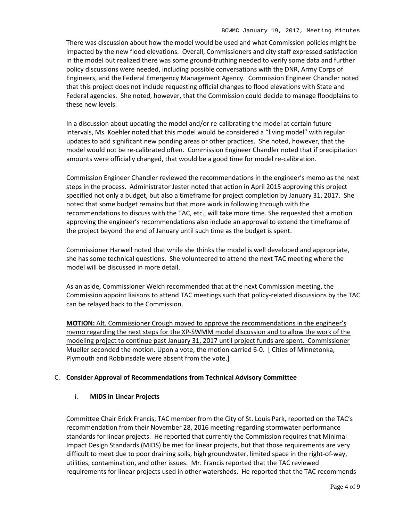There was discussion about how the model would be used and what Commission policies might be impacted by the new flood elevations. Overall, Commissioners and city staff expressed satisfaction in the model but realized there was some ground-truthing needed to verify some data and further policy discussions were needed, including possible conversations with the DNR, Army Corps of Engineers, and the Federal Emergency Management Agency. Commission Engineer Chandler noted that this project does not include requesting official changes to flood elevations with State and Federal agencies. She noted, however, that the Commission could decide to manage floodplains to these new levels.

In a discussion about updating the model and/or re-calibrating the model at certain future intervals, Ms. Koehler noted that this model would be considered a "living model" with regular updates to add significant new ponding areas or other practices. She noted, however, that the model would not be re-calibrated often. Commission Engineer Chandler noted that if precipitation amounts were officially changed, that would be a good time for model re-calibration.

Commission Engineer Chandler reviewed the recommendations in the engineer's memo as the next steps in the process. Administrator Jester noted that action in April 2015 approving this project specified not only a budget, but also a timeframe for project completion by January 31, 2017. She noted that some budget remains but that more work in following through with the recommendations to discuss with the TAC, etc., will take more time. She requested that a motion approving the engineer's recommendations also include an approval to extend the timeframe of the project beyond the end of January until such time as the budget is spent.

Commissioner Harwell noted that while she thinks the model is well developed and appropriate, she has some technical questions. She volunteered to attend the next TAC meeting where the model will be discussed in more detail.

As an aside, Commissioner Welch recommended that at the next Commission meeting, the Commission appoint liaisons to attend TAC meetings such that policy-related discussions by the TAC can be relayed back to the Commission.

**MOTION:** Alt. Commissioner Crough moved to approve the recommendations in the engineer's memo regarding the next steps for the XP-SWMM model discussion and to allow the work of the modeling project to continue past January 31, 2017 until project funds are spent. Commissioner Mueller seconded the motion. Upon a vote, the motion carried 6-0. [ Cities of Minnetonka, Plymouth and Robbinsdale were absent from the vote.]

# C. **Consider Approval of Recommendations from Technical Advisory Committee**

### i. **MIDS in Linear Projects**

Committee Chair Erick Francis, TAC member from the City of St. Louis Park, reported on the TAC's recommendation from their November 28, 2016 meeting regarding stormwater performance standards for linear projects. He reported that currently the Commission requires that Minimal Impact Design Standards (MIDS) be met for linear projects, but that those requirements are very difficult to meet due to poor draining soils, high groundwater, limited space in the right-of-way, utilities, contamination, and other issues. Mr. Francis reported that the TAC reviewed requirements for linear projects used in other watersheds. He reported that the TAC recommends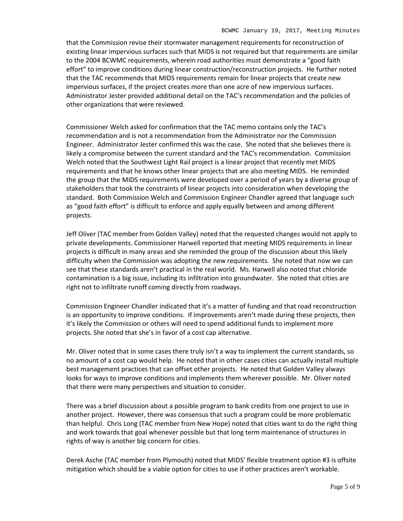that the Commission revise their stormwater management requirements for reconstruction of existing linear impervious surfaces such that MIDS is not required but that requirements are similar to the 2004 BCWMC requirements, wherein road authorities must demonstrate a "good faith effort" to improve conditions during linear construction/reconstruction projects. He further noted that the TAC recommends that MIDS requirements remain for linear projects that create new impervious surfaces, if the project creates more than one acre of new impervious surfaces. Administrator Jester provided additional detail on the TAC's recommendation and the policies of other organizations that were reviewed.

Commissioner Welch asked for confirmation that the TAC memo contains only the TAC's recommendation and is not a recommendation from the Administrator nor the Commission Engineer. Administrator Jester confirmed this was the case. She noted that she believes there is likely a compromise between the current standard and the TAC's recommendation. Commission Welch noted that the Southwest Light Rail project is a linear project that recently met MIDS requirements and that he knows other linear projects that are also meeting MIDS. He reminded the group that the MIDS requirements were developed over a period of years by a diverse group of stakeholders that took the constraints of linear projects into consideration when developing the standard. Both Commission Welch and Commission Engineer Chandler agreed that language such as "good faith effort" is difficult to enforce and apply equally between and among different projects.

Jeff Oliver (TAC member from Golden Valley) noted that the requested changes would not apply to private developments. Commissioner Harwell reported that meeting MIDS requirements in linear projects is difficult in many areas and she reminded the group of the discussion about this likely difficulty when the Commission was adopting the new requirements. She noted that now we can see that these standards aren't practical in the real world. Ms. Harwell also noted that chloride contamination is a big issue, including its infiltration into groundwater. She noted that cities are right not to infiltrate runoff coming directly from roadways.

Commission Engineer Chandler indicated that it's a matter of funding and that road reconstruction is an opportunity to improve conditions. If improvements aren't made during these projects, then it's likely the Commission or others will need to spend additional funds to implement more projects. She noted that she's in favor of a cost cap alternative.

Mr. Oliver noted that in some cases there truly isn't a way to implement the current standards, so no amount of a cost cap would help. He noted that in other cases cities can actually install multiple best management practices that can offset other projects. He noted that Golden Valley always looks for ways to improve conditions and implements them wherever possible. Mr. Oliver noted that there were many perspectives and situation to consider.

There was a brief discussion about a possible program to bank credits from one project to use in another project. However, there was consensus that such a program could be more problematic than helpful. Chris Long (TAC member from New Hope) noted that cities want to do the right thing and work towards that goal whenever possible but that long term maintenance of structures in rights of way is another big concern for cities.

Derek Asche (TAC member from Plymouth) noted that MIDS' flexible treatment option #3 is offsite mitigation which should be a viable option for cities to use if other practices aren't workable.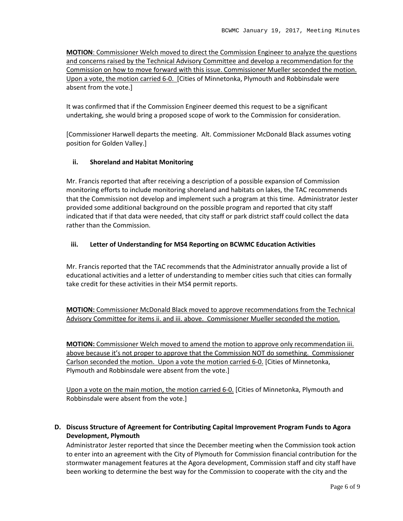**MOTION**: Commissioner Welch moved to direct the Commission Engineer to analyze the questions and concerns raised by the Technical Advisory Committee and develop a recommendation for the Commission on how to move forward with this issue. Commissioner Mueller seconded the motion. Upon a vote, the motion carried 6-0. [Cities of Minnetonka, Plymouth and Robbinsdale were absent from the vote.]

It was confirmed that if the Commission Engineer deemed this request to be a significant undertaking, she would bring a proposed scope of work to the Commission for consideration.

[Commissioner Harwell departs the meeting. Alt. Commissioner McDonald Black assumes voting position for Golden Valley.]

## **ii. Shoreland and Habitat Monitoring**

Mr. Francis reported that after receiving a description of a possible expansion of Commission monitoring efforts to include monitoring shoreland and habitats on lakes, the TAC recommends that the Commission not develop and implement such a program at this time. Administrator Jester provided some additional background on the possible program and reported that city staff indicated that if that data were needed, that city staff or park district staff could collect the data rather than the Commission.

## **iii. Letter of Understanding for MS4 Reporting on BCWMC Education Activities**

Mr. Francis reported that the TAC recommends that the Administrator annually provide a list of educational activities and a letter of understanding to member cities such that cities can formally take credit for these activities in their MS4 permit reports.

**MOTION:** Commissioner McDonald Black moved to approve recommendations from the Technical Advisory Committee for items ii. and iii. above. Commissioner Mueller seconded the motion.

**MOTION:** Commissioner Welch moved to amend the motion to approve only recommendation iii. above because it's not proper to approve that the Commission NOT do something. Commissioner Carlson seconded the motion. Upon a vote the motion carried 6-0. [Cities of Minnetonka, Plymouth and Robbinsdale were absent from the vote.]

Upon a vote on the main motion, the motion carried 6-0. [Cities of Minnetonka, Plymouth and Robbinsdale were absent from the vote.]

# **D. Discuss Structure of Agreement for Contributing Capital Improvement Program Funds to Agora Development, Plymouth**

Administrator Jester reported that since the December meeting when the Commission took action to enter into an agreement with the City of Plymouth for Commission financial contribution for the stormwater management features at the Agora development, Commission staff and city staff have been working to determine the best way for the Commission to cooperate with the city and the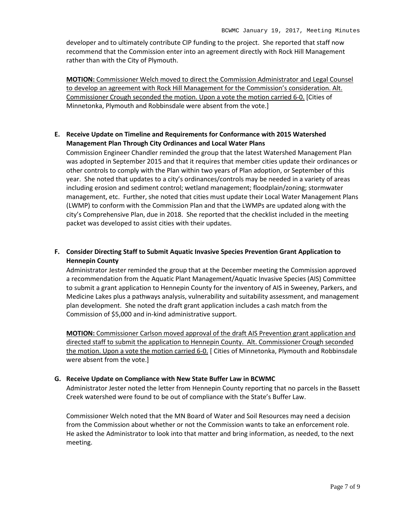developer and to ultimately contribute CIP funding to the project. She reported that staff now recommend that the Commission enter into an agreement directly with Rock Hill Management rather than with the City of Plymouth.

**MOTION:** Commissioner Welch moved to direct the Commission Administrator and Legal Counsel to develop an agreement with Rock Hill Management for the Commission's consideration. Alt. Commissioner Crough seconded the motion. Upon a vote the motion carried 6-0. [Cities of Minnetonka, Plymouth and Robbinsdale were absent from the vote.]

# **E. Receive Update on Timeline and Requirements for Conformance with 2015 Watershed Management Plan Through City Ordinances and Local Water Plans**

Commission Engineer Chandler reminded the group that the latest Watershed Management Plan was adopted in September 2015 and that it requires that member cities update their ordinances or other controls to comply with the Plan within two years of Plan adoption, or September of this year. She noted that updates to a city's ordinances/controls may be needed in a variety of areas including erosion and sediment control; wetland management; floodplain/zoning; stormwater management, etc. Further, she noted that cities must update their Local Water Management Plans (LWMP) to conform with the Commission Plan and that the LWMPs are updated along with the city's Comprehensive Plan, due in 2018. She reported that the checklist included in the meeting packet was developed to assist cities with their updates.

# **F. Consider Directing Staff to Submit Aquatic Invasive Species Prevention Grant Application to Hennepin County**

Administrator Jester reminded the group that at the December meeting the Commission approved a recommendation from the Aquatic Plant Management/Aquatic Invasive Species (AIS) Committee to submit a grant application to Hennepin County for the inventory of AIS in Sweeney, Parkers, and Medicine Lakes plus a pathways analysis, vulnerability and suitability assessment, and management plan development. She noted the draft grant application includes a cash match from the Commission of \$5,000 and in-kind administrative support.

**MOTION:** Commissioner Carlson moved approval of the draft AIS Prevention grant application and directed staff to submit the application to Hennepin County. Alt. Commissioner Crough seconded the motion. Upon a vote the motion carried 6-0. [ Cities of Minnetonka, Plymouth and Robbinsdale were absent from the vote.]

# **G. Receive Update on Compliance with New State Buffer Law in BCWMC**

Administrator Jester noted the letter from Hennepin County reporting that no parcels in the Bassett Creek watershed were found to be out of compliance with the State's Buffer Law.

Commissioner Welch noted that the MN Board of Water and Soil Resources may need a decision from the Commission about whether or not the Commission wants to take an enforcement role. He asked the Administrator to look into that matter and bring information, as needed, to the next meeting.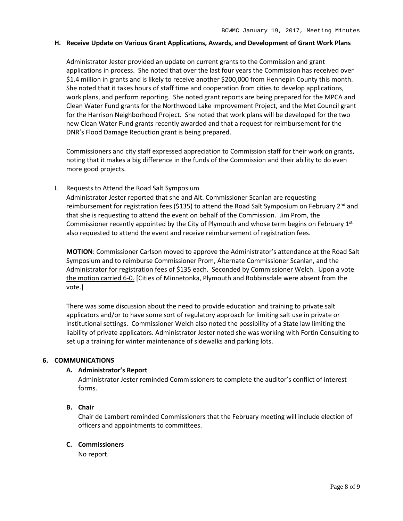#### **H. Receive Update on Various Grant Applications, Awards, and Development of Grant Work Plans**

Administrator Jester provided an update on current grants to the Commission and grant applications in process. She noted that over the last four years the Commission has received over \$1.4 million in grants and is likely to receive another \$200,000 from Hennepin County this month. She noted that it takes hours of staff time and cooperation from cities to develop applications, work plans, and perform reporting. She noted grant reports are being prepared for the MPCA and Clean Water Fund grants for the Northwood Lake Improvement Project, and the Met Council grant for the Harrison Neighborhood Project. She noted that work plans will be developed for the two new Clean Water Fund grants recently awarded and that a request for reimbursement for the DNR's Flood Damage Reduction grant is being prepared.

Commissioners and city staff expressed appreciation to Commission staff for their work on grants, noting that it makes a big difference in the funds of the Commission and their ability to do even more good projects.

I. Requests to Attend the Road Salt Symposium

Administrator Jester reported that she and Alt. Commissioner Scanlan are requesting reimbursement for registration fees (\$135) to attend the Road Salt Symposium on February  $2<sup>nd</sup>$  and that she is requesting to attend the event on behalf of the Commission. Jim Prom, the Commissioner recently appointed by the City of Plymouth and whose term begins on February  $1<sup>st</sup>$ also requested to attend the event and receive reimbursement of registration fees.

**MOTION**: Commissioner Carlson moved to approve the Administrator's attendance at the Road Salt Symposium and to reimburse Commissioner Prom, Alternate Commissioner Scanlan, and the Administrator for registration fees of \$135 each. Seconded by Commissioner Welch. Upon a vote the motion carried 6-0. [Cities of Minnetonka, Plymouth and Robbinsdale were absent from the vote.]

There was some discussion about the need to provide education and training to private salt applicators and/or to have some sort of regulatory approach for limiting salt use in private or institutional settings. Commissioner Welch also noted the possibility of a State law limiting the liability of private applicators. Administrator Jester noted she was working with Fortin Consulting to set up a training for winter maintenance of sidewalks and parking lots.

### **6. COMMUNICATIONS**

### **A. Administrator's Report**

Administrator Jester reminded Commissioners to complete the auditor's conflict of interest forms.

### **B. Chair**

Chair de Lambert reminded Commissioners that the February meeting will include election of officers and appointments to committees.

### **C. Commissioners**

No report.